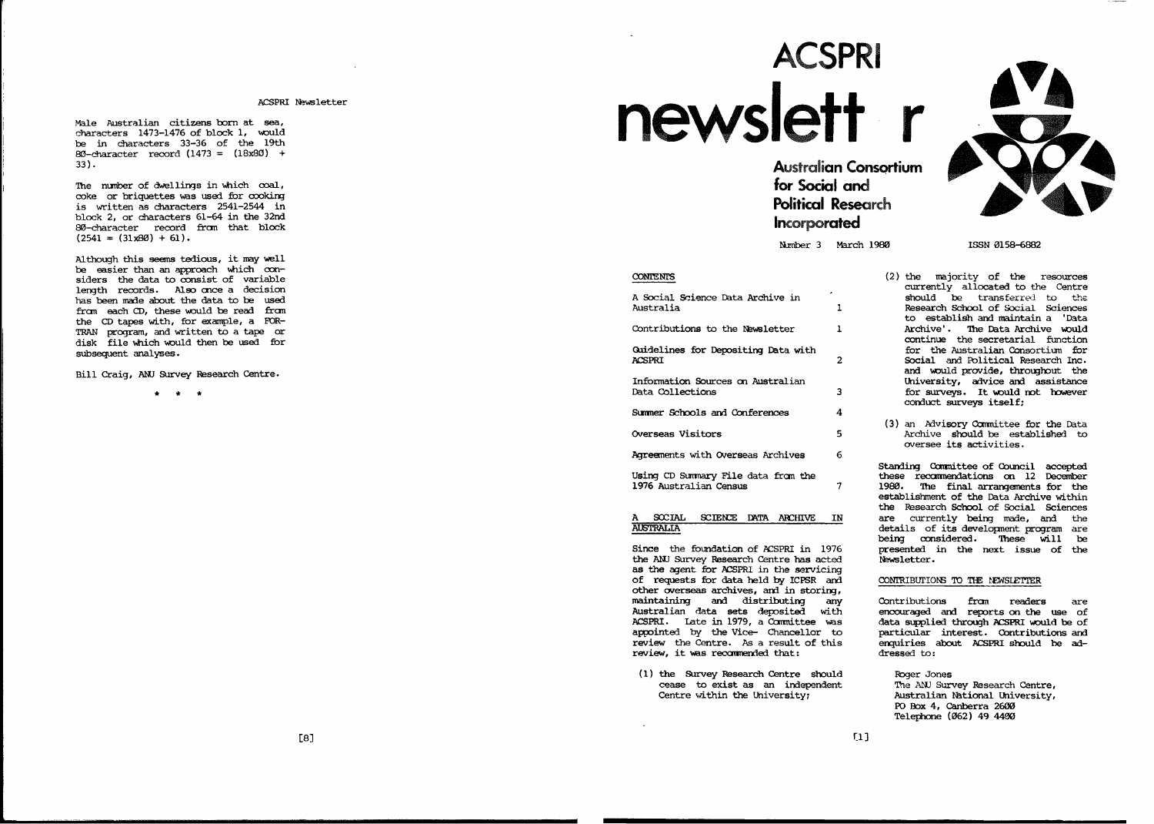ACSPRI Newsletter

M<sup>a</sup><sup>l</sup><sup>e</sup> <sup>A</sup>us<sup>t</sup><sup>r</sup><sup>a</sup><sup>l</sup><sup>i</sup><sup>a</sup><sup>n</sup> <sup>c</sup><sup>i</sup><sup>t</sup><sup>i</sup>ze<sup>n</sup><sup>s</sup> <sup>b</sup><sup>o</sup><sup>r</sup><sup>n</sup> <sup>a</sup><sup>t</sup> <sup>s</sup><sup>e</sup><sup>a</sup>, c<sup>h</sup><sup>a</sup><sup>r</sup><sup>a</sup><sup>c</sup><sup>t</sup><sup>e</sup><sup>r</sup><sup>s</sup> <sup>1</sup><sup>4</sup><sup>7</sup><sup>3</sup>—1<sup>4</sup><sup>7</sup><sup>6</sup> <sup>o</sup><sup>f</sup> <sup>b</sup><sup>l</sup><sup>o</sup><sup>c</sup><sup>k</sup> <sup>1</sup>, <sup>m</sup><sup>o</sup>ul<sup>d</sup> <sup>b</sup><sup>e</sup> <sup>i</sup><sup>n</sup> <sup>c</sup><sup>h</sup><sup>a</sup><sup>r</sup><sup>a</sup><sup>c</sup><sup>t</sup><sup>e</sup><sup>r</sup><sup>s</sup> <sup>3</sup><sup>3</sup>—3<sup>6</sup> <sup>o</sup><sup>f</sup> <sup>t</sup><sup>h</sup><sup>e</sup> <sup>1</sup><sup>9</sup><sup>t</sup><sup>h</sup>  $80$ -character record  $(1473 = (18x80) +$ 3<sup>3</sup>).

T<sup>h</sup><sup>e</sup> <sup>n</sup>um<sup>b</sup><sup>e</sup><sup>r</sup> <sup>o</sup><sup>f</sup> <sup>d</sup>we<sup>l</sup><sup>l</sup><sup>i</sup><sup>n</sup><sup>g</sup><sup>s</sup> <sup>i</sup><sup>n</sup> wh<sup>i</sup><sup>c</sup><sup>h</sup> <sup>c</sup><sup>o</sup><sup>a</sup><sup>l</sup>, c<sup>o</sup><sup>k</sup><sup>e</sup> <sup>o</sup><sup>r</sup> <sup>b</sup><sup>r</sup><sup>i</sup><sup>q</sup>ue<sup>t</sup><sup>t</sup><sup>e</sup><sup>s</sup> wa<sup>s</sup> us<sup>e</sup><sup>d</sup> <sup>f</sup><sup>o</sup><sup>r</sup> <sup>c</sup><sup>o</sup><sup>o</sup><sup>k</sup><sup>i</sup><sup>n</sup><sup>g</sup> <sup>i</sup><sup>s</sup> wr<sup>i</sup><sup>t</sup><sup>t</sup><sup>e</sup><sup>n</sup> <sup>a</sup><sup>s</sup> <sup>c</sup><sup>h</sup><sup>a</sup><sup>r</sup><sup>a</sup><sup>c</sup><sup>t</sup><sup>e</sup><sup>r</sup><sup>s</sup> <sup>2</sup><sup>5</sup><sup>4</sup><sup>1</sup>—2<sup>5</sup><sup>4</sup><sup>4</sup> <sup>i</sup><sup>n</sup> b<sup>l</sup><sup>o</sup><sup>c</sup><sup>k</sup> <sup>2</sup>, <sup>o</sup><sup>r</sup> <sup>c</sup><sup>h</sup><sup>a</sup><sup>r</sup><sup>a</sup><sup>c</sup><sup>t</sup><sup>e</sup><sup>r</sup><sup>s</sup> <sup>6</sup><sup>1</sup>-<sup>6</sup><sup>4</sup> <sup>i</sup><sup>n</sup> <sup>t</sup><sup>h</sup><sup>e</sup> <sup>3</sup><sup>2</sup><sup>n</sup><sup>d</sup> 80-character record from that block  $(2541 = (31x80) + 61).$ 

A<sup>l</sup><sup>t</sup><sup>h</sup><sup>o</sup>ug<sup>h</sup> <sup>t</sup><sup>h</sup><sup>i</sup><sup>s</sup> <sup>s</sup><sup>e</sup><sup>e</sup><sup>m</sup><sup>s</sup> <sup>t</sup><sup>e</sup><sup>d</sup><sup>i</sup><sup>o</sup>us, <sup>i</sup><sup>t</sup> <sup>m</sup><sup>a</sup><sup>y</sup> we<sup>l</sup><sup>l</sup> <sup>b</sup><sup>e</sup> <sup>e</sup><sup>a</sup><sup>s</sup><sup>i</sup><sup>e</sup><sup>r</sup> <sup>t</sup><sup>h</sup><sup>a</sup><sup>n</sup> <sup>a</sup><sup>n</sup> <sup>a</sup><sup>p</sup><sup>p</sup><sup>r</sup><sup>o</sup><sup>a</sup><sup>c</sup><sup>h</sup> wh<sup>i</sup><sup>c</sup><sup>h</sup> <sup>c</sup><sup>o</sup><sup>n</sup> s<sup>i</sup><sup>d</sup><sup>e</sup><sup>r</sup><sup>s</sup> <sup>t</sup><sup>h</sup><sup>e</sup> <sup>d</sup><sup>a</sup><sup>t</sup><sup>a</sup> <sup>t</sup><sup>o</sup> <sup>c</sup><sup>o</sup><sup>n</sup><sup>s</sup><sup>i</sup><sup>s</sup><sup>t</sup> <sup>o</sup><sup>f</sup> va<sup>r</sup><sup>i</sup><sup>a</sup><sup>b</sup><sup>l</sup><sup>e</sup> length records. Also once a decision has been made about the data to be used from each CD, these would be read from the CD tapes with, for example, a FOR-TRAN program, and written to a tape or d<sup>i</sup><sup>s</sup><sup>k</sup> <sup>f</sup><sup>i</sup><sup>l</sup><sup>e</sup> wh<sup>i</sup><sup>c</sup><sup>h</sup> woul<sup>d</sup> <sup>t</sup><sup>h</sup><sup>e</sup><sup>n</sup> <sup>b</sup><sup>e</sup> us<sup>e</sup><sup>d</sup> <sup>f</sup><sup>o</sup><sup>r</sup> sub<sup>s</sup><sup>e</sup><sup>q</sup>ue<sup>n</sup><sup>t</sup> <sup>a</sup><sup>n</sup><sup>a</sup><sup>l</sup>ys<sup>e</sup><sup>s</sup>.

Bill Craig, ANU Survey Research Centre.

\* \*

# ACSPRI newslett

Australian Consortium<br>for Social and<br>Political Research **Political Research** Incorporated

Nimber 3 March 1980 ISSN 0158-6882

| <b>SOCIAL</b><br><b>SCIENCE</b><br>A<br>DATA<br><b>ARCHIVE</b><br><b>MICTIONITA</b> | IN |
|-------------------------------------------------------------------------------------|----|
|                                                                                     |    |
| Using CD Summary File data from the<br>1976 Australian Census                       | 7  |
| Agreements with Overseas Archives                                                   | 6  |
| Overseas Visitors                                                                   | 5. |
| Summer Schools and Conferences                                                      | 4  |
| Information Sources on Australian<br>Data Collections                               | 3  |
| Guidelines for Depositing Data with<br>ACSPRI                                       | 2  |
| Contributions to the Newsletter                                                     | ı  |
| A Social Science Data Archive in<br>Australia                                       | ı  |
|                                                                                     |    |

**AUSTRALIA** 

Since the foundation of ACSPRI in 1976 the ANJ Survey Research Centre has acted as the agent for ACSPRI in the servicing of requests for data held by ICPSR and  $\sim$ other overseas archives, and in storing, and distribution of the second second second second second second second second second second second second second second second second second second second second second second second second second second second second se any Australian data sets deposited with ACSPRI. Late in 1979, a Committee vas appointed by the Vice- Chancellor to review the Centre. As a result of this review, it was reccnmended that:

(1) the Survey Research Centre should cease to exist as an independent Centre within the University;

CONTENTS (2) the majority of the resources currently allocated to the Centre should be transferred to the 1 Research School of Social Sciences to establish and maintain 'Data Archive' The main archive would be a main and archive would be a second would be a second would be a second would be a second would be a second would be a second would be a second would be a second would be a second would continue the secretarial function for the Australian Consortium for 2 Social and Political Research Inc. and would provide, throughout the University, advice and assistance 3 for surveys. It would not however conduct surveys itself:

> (3) an Advisory Committee for the Data 5 Archive should be established to oversee its activities.

> > Standing Committee of Council accepted these recommendations on 12 December arrangements are a statements of the statements of the statements of the statements of the statements of the statements of the statements of the statements of the statements of the statements of the statements of the state  $$ establishment of the Data Archives with the Data Archives with the Data Archives with the Data Archives with the Data Archives with the Data Archives with the Data Archives with the Data Archives with the Data Archives wit the Research School of Social Sciences are currently being made, and the details of its developing program are a being considered. These will be presented in the next issue of the N<sup>e</sup>ws<sup>l</sup><sup>e</sup><sup>t</sup><sup>t</sup><sup>e</sup><sup>r</sup>.

#### coniection is the extent for the extension of the extension of the extension of the extension of the extension of the extension of the extension of the extension of the extension of the extension of the extension of the ex

Contributions from readers are encouraged and reports on the u5e of data supplied through ACSPRI would be of particular interest. particular interest. Contributions and<br>enquiries about ACSPRI should be addressed to:

Roger Jones The ANU Survey Research Centre, Australian National University, PO Box 4, Canberra 2600 Telephone (062) 49 4400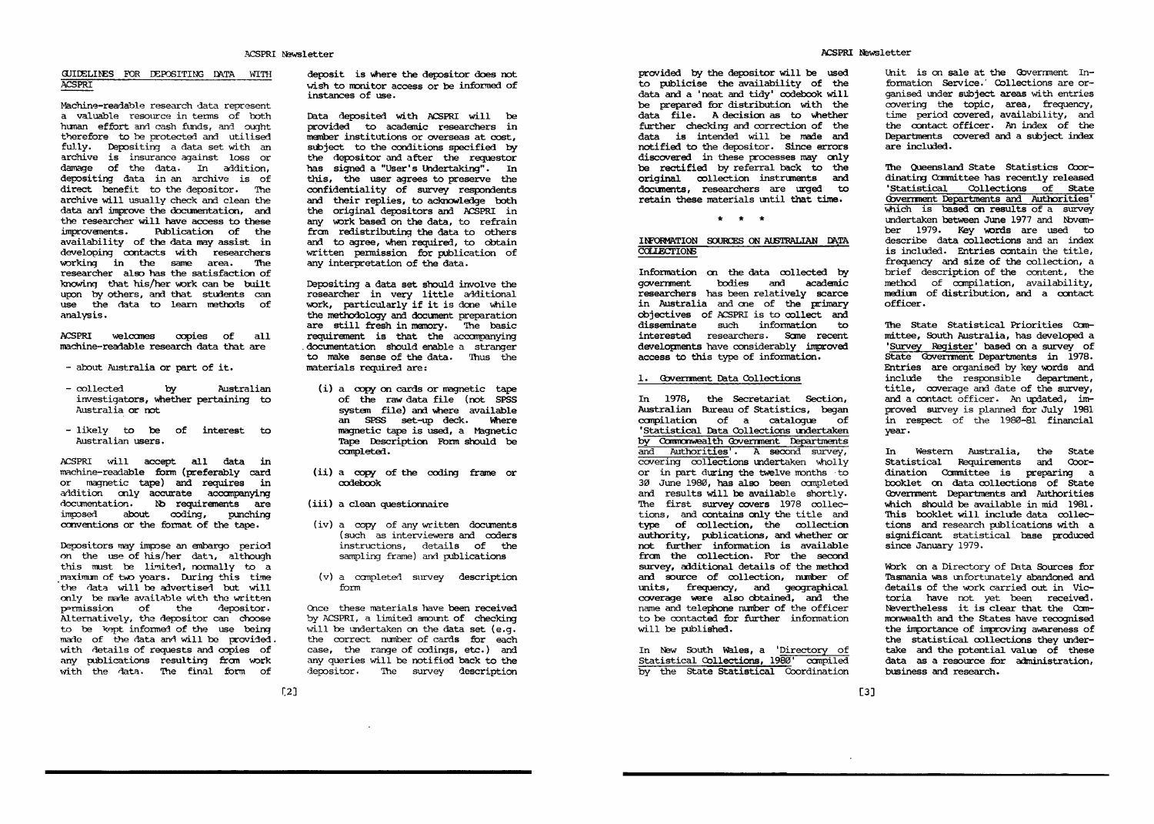## CIJImLIDES FOR DEPOSITIqu DATA WITH ACSPRI

Machine-readable research data represent valuable resource in terms of both human effort and cash funds, and ought therefore to be protected and utilised fully. Depositing <sup>a</sup> data set with an against the contract of the contract of the contract of the contract of the contract of the contract of the contract of the contract of the contract of the contract of the contract of the contract of the contract of the co damage of the data. In addition, the data and the data of the data of the data of the data of the data of the depositing data in an archive is of direct benefit to the depositor. archive will usually check and constant data and including the documentation, and including the documentation, and including the documentation, and in have access to these improvenents. Publication of the improvements. Publication of the availability of the data may assist in developing contacts with researchers working in the same area. The researcher also has the satisfaction of knowing that his/her work can be built upon by others, and that students can use the data to learn methods of analysis.

ACSPRI welcomes copies of all  $\dots$  we come the component  $\blacksquare$ copies and complete the copy of all machine-readable research data that are

- about Australia or part of it.
- collected by Australian investigators, whether pertaining to australia or not not not a
- likely to be of interest to Australian users.

ACSPRI will accept all data in machine-readable form (preferably card or magnetic tape) and requires in aidition only accompanying accompanying documentation. le require-rentation are the control of the conimposed about coding, punching conventions or the format of the tape.

Depositors may impose an embargo period on the use of the use of the use  $\mathbf{u}_i$ this must be limited, normally to a maximum of two years. During this time the data will be advertised but will only be made available with the written permission of the depositor Alternatively, the depositor can choose to be kept informal of the use being made of the data and will be provided. with details of requests and copies of any publications resulting from work with the data. The final form of

deposit is where the depositor does not wi<sup>s</sup><sup>h</sup> <sup>t</sup><sup>o</sup> <sup>m</sup><sup>o</sup><sup>n</sup><sup>i</sup><sup>t</sup><sup>o</sup><sup>r</sup> <sup>a</sup><sup>c</sup><sup>c</sup><sup>e</sup><sup>s</sup><sup>s</sup> <sup>o</sup><sup>r</sup> <sup>b</sup><sup>e</sup> <sup>i</sup><sup>n</sup><sup>f</sup><sup>o</sup><sup>r</sup><sup>m</sup><sup>e</sup><sup>d</sup> <sup>o</sup><sup>f</sup> instances of use.

Data deposited with ACSPRI will be provided to academic researchers in member institutions or overseas at cost, subject to the conditions specified by the depositor and after the requestor has signed a "User's Undertaking". In this, the user agrees to preserve the confidentiality of survey respondents and their replies, to acknowledge both the original depositors and ACSPRI in any work based on the data, to refrain from redistributing the data to others and to agree, when required, to obtain written permission for publication of any interpretation of the data.

Depositing data set should involve the researcher in very little additional work, particularly if it is done while the methodology and document preparation are still fresh in memory. 'Ihe basic requirement is that the accompanying documentation should enable a stranger to make sense of the data. Thus the materials required are:

- (i) copy on cards or magnetic tape of the raw data file (not SPSS system file) and where available Where an SPSS set—up deck. mere magnetic tape is used, mgnetic Tape Description Form should be completed.
- $\lambda$  and  $\lambda$  constants constants are constants of  $\lambda$ codebook
- (iii) a clean questionnaire
- (iv) a copy of any written documents (such as interviewers and coders instructions, details of the sampling frame) and publications
- $\mathcal{C}$  completed survey descriptions of  $\mathcal{C}$ form

Once these materials have been received by Accessing in Seminated another as the checking will be undertaken on the data set (e.g. the correct number of cards for each  $\sim$ case, the range of codings, etc.) and any queries will be no consider back to the depositor. The survey description of the survey of the survey of the survey of the survey of the survey of the

provided by the depositor will be used to publicise the availability of the data and 'neat and tidy' codebook will be prepared for distribution with the data file. A decision as to whether fur<sup>t</sup><sup>h</sup><sup>e</sup><sup>r</sup> <sup>c</sup><sup>h</sup><sup>e</sup><sup>c</sup><sup>k</sup><sup>i</sup><sup>n</sup><sup>g</sup> <sup>a</sup><sup>n</sup><sup>d</sup> <sup>c</sup><sup>o</sup><sup>r</sup><sup>r</sup><sup>e</sup><sup>c</sup><sup>t</sup><sup>i</sup><sup>o</sup><sup>n</sup> <sup>o</sup><sup>f</sup> <sup>t</sup><sup>h</sup><sup>e</sup> d<sup>a</sup><sup>t</sup><sup>a</sup> <sup>i</sup><sup>s</sup> <sup>i</sup><sup>n</sup><sup>t</sup><sup>e</sup><sup>n</sup><sup>d</sup><sup>e</sup><sup>d</sup> wi<sup>l</sup><sup>l</sup> <sup>b</sup><sup>e</sup> <sup>m</sup><sup>a</sup><sup>d</sup><sup>e</sup> <sup>a</sup><sup>n</sup><sup>d</sup> n<sup>o</sup><sup>t</sup><sup>i</sup><sup>f</sup><sup>i</sup><sup>e</sup><sup>d</sup> <sup>t</sup><sup>o</sup> <sup>t</sup><sup>h</sup><sup>e</sup> <sup>d</sup><sup>e</sup><sup>p</sup><sup>o</sup><sup>s</sup><sup>i</sup><sup>t</sup><sup>o</sup><sup>r</sup>. <sup>S</sup><sup>i</sup><sup>n</sup><sup>c</sup><sup>e</sup> <sup>e</sup><sup>r</sup><sup>r</sup><sup>o</sup><sup>r</sup><sup>s</sup> discovered in these processes may only <sup>b</sup><sup>e</sup> <sup>r</sup><sup>e</sup><sup>c</sup><sup>t</sup><sup>i</sup><sup>f</sup><sup>i</sup><sup>e</sup><sup>d</sup> <sup>b</sup><sup>y</sup> <sup>r</sup><sup>e</sup><sup>f</sup><sup>e</sup><sup>r</sup><sup>r</sup><sup>a</sup><sup>l</sup> <sup>b</sup><sup>a</sup><sup>c</sup><sup>k</sup> <sup>t</sup><sup>o</sup> <sup>t</sup><sup>h</sup><sup>e</sup> o<sup>r</sup><sup>i</sup><sup>g</sup><sup>i</sup><sup>n</sup><sup>a</sup><sup>l</sup> <sup>c</sup><sup>o</sup><sup>l</sup><sup>l</sup><sup>e</sup><sup>c</sup><sup>t</sup><sup>i</sup><sup>o</sup><sup>n</sup> <sup>i</sup><sup>n</sup><sup>s</sup><sup>t</sup><sup>r</sup>un<sup>e</sup><sup>n</sup><sup>t</sup><sup>s</sup> <sup>a</sup><sup>n</sup><sup>d</sup> d<sup>o</sup><sup>c</sup>um<sup>e</sup><sup>n</sup><sup>t</sup><sup>s</sup>, <sup>r</sup><sup>e</sup><sup>s</sup><sup>e</sup><sup>a</sup><sup>r</sup><sup>c</sup><sup>h</sup><sup>e</sup><sup>r</sup><sup>s</sup> <sup>a</sup><sup>r</sup><sup>e</sup> ur<sup>g</sup><sup>e</sup><sup>d</sup> <sup>t</sup><sup>o</sup> r<sup>e</sup><sup>t</sup><sup>a</sup><sup>i</sup><sup>n</sup> <sup>t</sup><sup>h</sup><sup>e</sup><sup>s</sup><sup>e</sup> <sup>m</sup><sup>a</sup><sup>t</sup><sup>e</sup><sup>r</sup><sup>i</sup><sup>a</sup><sup>l</sup><sup>s</sup> un<sup>t</sup><sup>i</sup><sup>l</sup> <sup>t</sup><sup>h</sup><sup>a</sup><sup>t</sup> <sup>t</sup><sup>i</sup><sup>m</sup><sup>e</sup>.

 $\frac{1}{2}$   $\frac{1}{2}$   $\frac{1}{2}$   $\frac{1}{2}$   $\frac{1}{2}$ 

# IDFORMATION EDURCES 0N AIBTRALIAN DATA COLLECTIONS

Information on the data collected by government bodies and acadonic researchers has been relatively scarce in Australia and me of the primary objectives of ACSPRI is to collect and disseminate such information to interested researchers. Some recent developments have considerably improved a<sup>c</sup><sup>c</sup><sup>e</sup><sup>s</sup><sup>s</sup> <sup>t</sup><sup>o</sup> <sup>t</sup><sup>h</sup><sup>i</sup><sup>s</sup> <sup>t</sup>yp<sup>e</sup> <sup>o</sup><sup>f</sup> <sup>i</sup><sup>n</sup><sup>f</sup><sup>o</sup><sup>r</sup><sup>m</sup><sup>a</sup><sup>t</sup><sup>i</sup><sup>o</sup><sup>n</sup>.

# 1. Government Data Collections

In 1978, the Secretariat Section, Australian Bureau of Statistics, began compilation of a catalogue of 'Statistical Data Collections uriertaken 'Statistical Data Collections undertaken<br>by Commonwealth Government Departments and Authorities', A second survey, Statistical Data Collections undertaken<br>My Commonwealth Government Departments<br>and Authorities'. A second survey,<br>covering collections undertaken wholly covering collections undertaken wholly<br>or in part during the twelve months to 3% June 1982}, has also been completed and results will be available shortly. The first survey covers 1978 collections, and contains only the title and type of collection, the collection authority, publications, and whether or not further information is available from the collection. For the second survey. additional details of the method and source of collection, number of mite, frequency, and geographical coverage were also obtained, and the name and telephone number of the officer to be contacted for further information will be published.

In New South Wales, a 'Directory of Statistical Collections, 1980' compiled by the State Statistical Coordination

Unit is on sale at the Government  $In$ formation Service.' Collections are organised under subject areas with entries c<sup>o</sup>ve<sup>r</sup><sup>i</sup><sup>n</sup><sup>g</sup> <sup>t</sup><sup>h</sup><sup>e</sup> <sup>t</sup><sup>o</sup><sup>p</sup><sup>i</sup><sup>c</sup>, <sup>a</sup><sup>r</sup><sup>e</sup><sup>a</sup>, <sup>f</sup><sup>r</sup><sup>e</sup><sup>q</sup>ue<sup>n</sup><sup>c</sup>y, time period covered, availability, and the contact officer. An index of the Departments covered and a subject index are included.

'Ihe Queensland State Statistics Coordinating Committee has recently released 'Statistical Collections of State which is based on results of a survey undertaken between June 1977 and November 1979. Key words are used to describe data collections and an index is included. Entries contain the title, frequency and size of the collection, a brief description of the content, the method of compilation, availability, medium of distribution, and a contact officer.  $- - - - -$ 

The State Statistical Priorities Com mittee, South Australia, has developed 'Survey Reqister' based on a survey of State Government Departments in 1978. Entries are organised by keywords and include the responsible department, title, coverage and date of the survey, and a contact officer. An updated, improved survey is planned for July 1981 in respect of the 1986-81 financial year.

In Western Australia, the State statistical Requirements and Coordination Committee is preparing a booklet on data collections of State Government Departments and Authorities which should be available in mid 1981. This booklet will include data collections and research publications with significant statistical base produced s<sup>i</sup><sup>n</sup><sup>c</sup><sup>e</sup> <sup>J</sup><sup>a</sup><sup>n</sup>ua<sup>r</sup><sup>y</sup> <sup>1</sup><sup>9</sup><sup>7</sup><sup>9</sup>.

work on Directory of Data Sources Sources Tasmania was unfortunately abandoned and details of the work carried out in Victoria have not yet been received. Nevertheless it is clear that the Commonwealth and the States have recognised the importance of improving awareness of the statistical collections they under take and the potential value of these data as resources for a resource for a minister  $\alpha$ business and research.

 $[2]$ 

 $<sup>131</sup>$ </sup> - -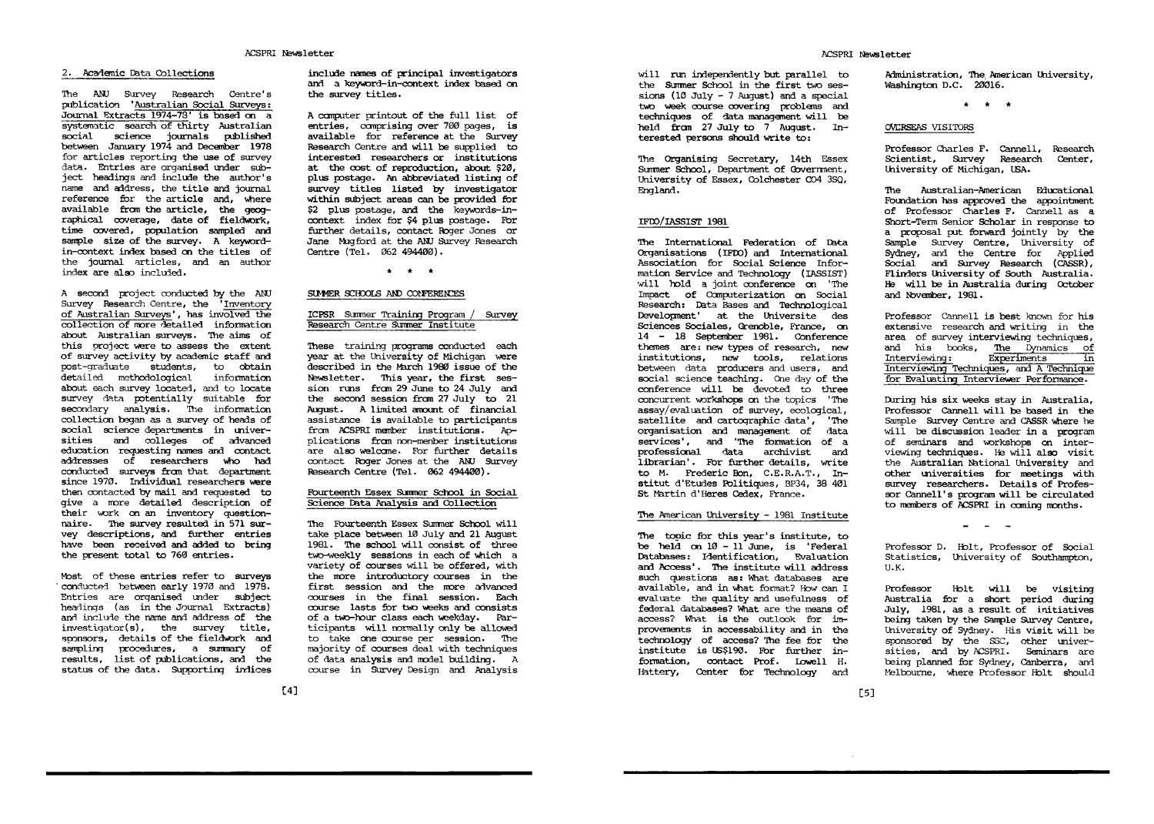#### $2.1$  accurates for the set of the state  $\sim$

'International Survey Research Centre's Survey Research Centre's Survey Research Centre's Survey Research Cent publication 'Australian Social Surveys: Journal Extracts 1974-73' is based on a extractive and the control of thirty Australian social science journals published between January 1974 and December 1978 for articles reporting the use  $\sim$  survey  $\sim$  1 data. Entries and the second second second second second second second second second second second second second second second second second second second second second second second second second second second second seco are organised under subject headings and include the author's name and address, the title and journal reference for the article and, were the article and article and article and article and article and article and available from the article, the state  $\mathbf{z}$ raphical coverage, date of fieldwork, time cover population sampled and sample size of the survey. Keyword in-context index based on the titles of the journal articles, and an author index are also included.

second project conducted by the ANJ Survey Research Centre, the 'Inventory of Australian Surveys', has involved the collection of more detailed information about Australian surveys. The aims of this project were to assess the extent of survey activity by academic staff and post—graduate students, to obtain detailed methodological methodological methodological methodological methodological methodological methodologi information about each survey movement, and to movemen survey data potentially suitable for secondary analysis. The collection began as a survey of heads of collection began as survey of heads of social science departments in universities and colleges advanced education requesting names and contact addresses of researchers vino had conducted surveys <del>the conducted survey</del> since 1970. Individual researchers were then contacted by mail and requested to give a more detailed description of more detailed description of their work on an inventory questionnaire. The survey resulted in 571 survey descriptions, and further entries have been received and added to bring the present total to 760 entries.

Most of these entries refer to surveys 'conducted between early1970 and 1978. Entries are organised under subject headings (as in the Journal Extracts) and include the name and address of the  $investigator(s)$ , the survey title, sponsors, details of the fieldwork and sampling procedures, a summary of results, list of publications, and the status of the data. Supporting indices

include mmes of principal investigators and a keyword-in-context index based on the survey titles.

computer printout of the full list of entries, comprising over 700 pages, is available for reference at the Survey Research Centre and will be supplied to interested researchers or institutions at the cost of reproduction, about \$20, plus postage. An abbreviated listing of survey titles listed by investigator within subject areas can be provided for \$2 plus postage, and the keywords-incontext index for \$4 plus postage. Ebr further details, contact Roger Jones or Jane Mugford at the AMI Survey Research Centre (Tel. 062 494400).

 $\star$   $\star$   $\star$ 

# SUMMER SCHOOLS AND CONFERENCES

# ICPSR Summer Training Program / Survey Research Centre Summer Institute

These training programs conducted each year at the University of Michigan were described in the March 1989) issue of the Newsletter. 'Ihis year, the first ses sion runs from 29 June to 24 July and the second session from 27 July to 21 august. limited amount of financial amount of financial and financial amount of financial and  $\alpha$ assistance is available to participants from ACSPRI member institutions. Ap **p** = **p** = **p** = **p** = **p** = **p** = **p**  $f$  and  $f$ non—member plications from non-menber institutions<br>are also welcome. For further details contact Roger Jones at the ANJ Survey Research Centre (Tel. 962 494456).

# Fourteenth Essex Summer School in Social Science Data Analysis and Collection

The Fourteenth Essex Summer School will take place between 10 July and 21 August 1981. The school will consist of three two-weekly sessions in each of which variety of courses will be offered, with the more introductory courses in the first session and the more advanced courses in the final session. Each course lasts for two weeks and consists of a two-hour class each weekday. Participants will normally only be allowed to take one course per session. The majority of courses deal with techniques of data analysis and model building. course in Survey Design and Analysis

will run independently but the parallel to the parallel to the the Summer School in the first two ses sions (10 July  $-7$  August) and a special two week course covering problems and techniques of data management will be held from 27 July to 7 August. Interested persons should write to:

The Organising Secretary, 14th Essex Summer School, Department of Government, University of Essex, Colchester C04 350, England

# IFDo/IASSIsr 1981

The International Federation of Data International Federation of Organisations (IFm) and International Association for Social Science Infor mation Service and Technology (IASSIST) will hold a joint conference on 'The Impact of Computerization on Social Research: Data Bases and Technological Development' at the Sciences Sociales, Grenoble, Fiance, on 14 - 14 18 - 14 18 - 14 18 - 14 18 - 14 18 - 14 18 - 14 18 - 14 18 - 14 18 - 14 18 - 14 18 - 14 18 - 14 18 - 1 themes are: new types of research, new institutions, new tools, relations . . . . . . relations between data producers and users, and social science teaching. One day of the conference will be devoted to three concurrent workshops on the topics 'The assay/ evaluation of survey, ecological, satellite and cartographic data', 'The organisation and management of data services', and 'The formation of a professional data archivist and librarian' Fbr further  $\cdots$  ----with the contract of the conto M. Frederic Eon, C.E.R.A.T., Institut d'Etudes Politiques, BP34, 38 401 St Martin d'Heres Cedex, France.

#### The American University 1981 Institute 1982 Institute

 $\frac{1}{2}$  be held on  $10 - 11$  June, is 'Federal' Databases: Identification, Evaluation The institute will address  $\cdots$  .  $\cdots$   $\cdots$   $\cdots$   $\cdots$   $\cdots$ as:  $...$ databases available, and in what formation for the state  $\alpha$ evaluate the second quality and and usefulness of What are the means of access? What is the outlook for im provements in accessability and  $\cdot$ technology of the contract of the contract of the contract of the contract of the contract of the contract of the contract of the contract of the contract of the contract of the contract of the contract of the contract of access? 'llie's form the form  $\cdots$  . For  $\cdots$  . It is a function  $\cdots$ formation, contact Prof. Lowell H. flattery, Center for Technology and

Administration, The American University, Washington D.C. 20016.

\* \*

# OVERSEAS VISITORS

Professor Charles F. Camell, Research Scientist, Survey Research Center, University of Michigan, USA.

The Australian—American Educational Foundation has approved the appointment of Professor Charles F. Cannell as Short-Term Senior Scholar in response to proposal put forward jointly by the Sample Survey Centre, University of Sydney, and the Centre for Applied Social and Survey Research (CASSR), Flinders lhiversity of South Australia. He will be in Australia during October and bbvember, 1981.

Professor Cannell is best known for his extensive research and writing in the area of survey interviewing techniques, and his books, The Dynamics of Interviewing: Experiments in Interviewug Technifis, and Tecng for Evaluating Interviewer Performance.

During his six weeks stay in Australia, Professor  $\sim$  can  $\sim$  can  $\sim$ in the Sample Survey Centre and CASSR where he will be discussion leader in a program of seminars and workshops on inter viewing technicus also visit also visit visit the Australian National University and meetings survey researchers. Details of Profesresearchers. Details of Profes sor Cannell's program will be circulated to members of ACSPRI in coming months.

Professor D. Holt, Professor of Social Statistics, University of Southampton, U.K.

 $\sim$   $-$ 

Professor lblt will be visiting Australia for short period during July, 1981, as result of initiatives being taken by the Sample Survey Centre, University of Sydney. His visit will be a set of Sydney and Sydney. His visit will be a set of the set of the  $s_{\perp}$  sponsored by the SSC, other universal universal universal universal universal universal universal universal universal universal universal universal universal universal universal universal universal universal univ sities, and by ACSPRI. Seminars are being planned for Sydney, Canberra, and Melbourne, where Professor Holt should